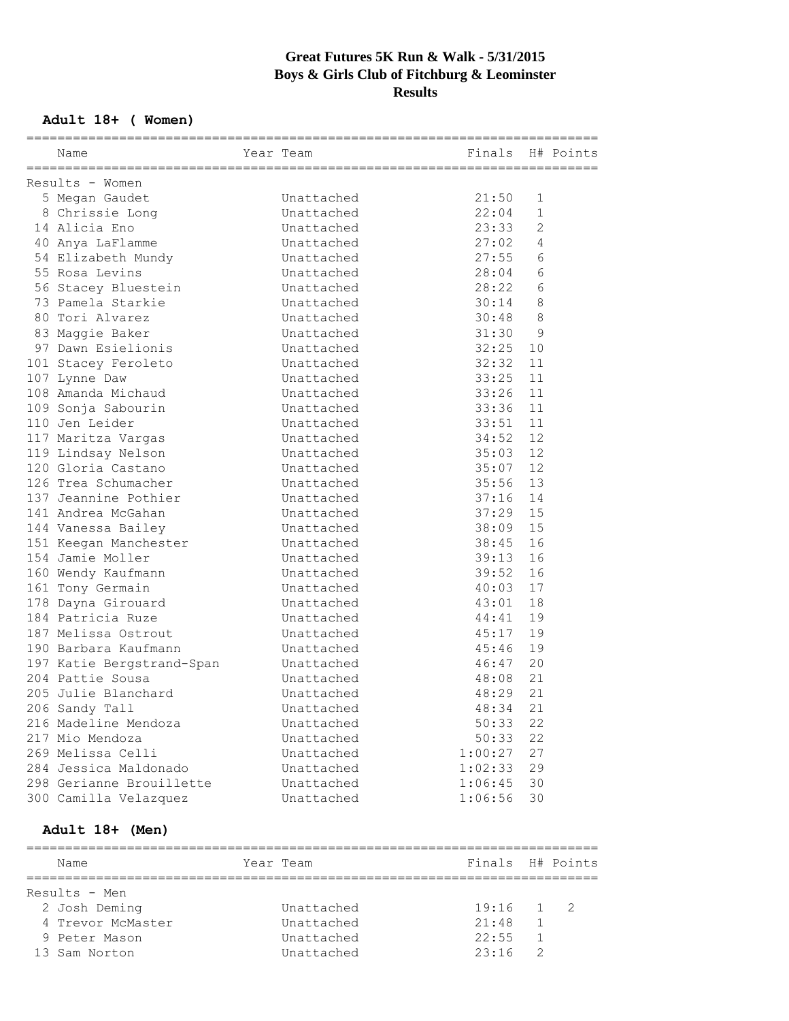## **Great Futures 5K Run & Walk - 5/31/2015 Boys & Girls Club of Fitchburg & Leominster Results**

## **Adult 18+ ( Women)**

| Finals H# Points<br>Year Team<br>Name<br>Results - Women<br>5 Megan Gaudet<br>21:50<br>Unattached<br>1<br>22:04<br>$\mathbf{1}$<br>8 Chrissie Long<br>Unattached<br>23:33<br>2<br>14 Alicia Eno<br>Unattached<br>27:02<br>4<br>40 Anya LaFlamme<br>Unattached<br>27:55<br>6<br>54 Elizabeth Mundy<br>Unattached<br>$6\phantom{1}6$<br>28:04<br>55 Rosa Levins<br>Unattached<br>$6\phantom{1}6$<br>28:22<br>56 Stacey Bluestein<br>Unattached<br>8<br>73 Pamela Starkie<br>Unattached<br>30:14<br>80 Tori Alvarez<br>8<br>Unattached<br>30:48<br>31:30<br>$\overline{9}$<br>83 Maggie Baker<br>Unattached<br>97 Dawn Esielionis<br>32:25<br>10<br>Unattached<br>32:32<br>11<br>101 Stacey Feroleto<br>Unattached<br>33:25<br>11<br>107 Lynne Daw<br>Unattached<br>108 Amanda Michaud<br>33:26<br>11<br>Unattached<br>33:36<br>11<br>109 Sonja Sabourin<br>Unattached<br>33:51<br>11<br>110 Jen Leider<br>Unattached<br>12<br>117 Maritza Vargas<br>Unattached<br>34:52<br>12<br>119 Lindsay Nelson<br>Unattached<br>35:03<br>12<br>120 Gloria Castano<br>Unattached<br>35:07<br>126 Trea Schumacher<br>35:56<br>13<br>Unattached<br>137 Jeannine Pothier<br>37:16<br>Unattached<br>14<br>15<br>141 Andrea McGahan<br>Unattached<br>37:29<br>38:09<br>15<br>144 Vanessa Bailey<br>Unattached<br>16<br>151 Keegan Manchester<br>Unattached<br>38:45<br>154 Jamie Moller<br>39:13<br>16<br>Unattached<br>16<br>160 Wendy Kaufmann<br>Unattached<br>39:52<br>17<br>40:03<br>161 Tony Germain<br>Unattached<br>18<br>178 Dayna Girouard<br>Unattached<br>43:01<br>184 Patricia Ruze<br>19<br>Unattached<br>44:41<br>45:17<br>19<br>187 Melissa Ostrout<br>Unattached<br>45:46<br>19<br>190 Barbara Kaufmann<br>Unattached<br>20<br>197 Katie Bergstrand-Span<br>Unattached<br>46:47<br>204 Pattie Sousa<br>21<br>Unattached<br>48:08<br>205 Julie Blanchard<br>21<br>Unattached<br>48:29<br>48:34<br>21<br>206 Sandy Tall<br>Unattached<br>216 Madeline Mendoza<br>50:33<br>22<br>Unattached<br>217 Mio Mendoza<br>Unattached<br>50:33<br>22<br>269 Melissa Celli<br>27<br>Unattached<br>1:00:27<br>284 Jessica Maldonado<br>1:02:33<br>29<br>Unattached |  |  |  |  |
|----------------------------------------------------------------------------------------------------------------------------------------------------------------------------------------------------------------------------------------------------------------------------------------------------------------------------------------------------------------------------------------------------------------------------------------------------------------------------------------------------------------------------------------------------------------------------------------------------------------------------------------------------------------------------------------------------------------------------------------------------------------------------------------------------------------------------------------------------------------------------------------------------------------------------------------------------------------------------------------------------------------------------------------------------------------------------------------------------------------------------------------------------------------------------------------------------------------------------------------------------------------------------------------------------------------------------------------------------------------------------------------------------------------------------------------------------------------------------------------------------------------------------------------------------------------------------------------------------------------------------------------------------------------------------------------------------------------------------------------------------------------------------------------------------------------------------------------------------------------------------------------------------------------------------------------------------------------------------------------------------------------------------------------------------------------------------------------------------------------------------------------------------|--|--|--|--|
|                                                                                                                                                                                                                                                                                                                                                                                                                                                                                                                                                                                                                                                                                                                                                                                                                                                                                                                                                                                                                                                                                                                                                                                                                                                                                                                                                                                                                                                                                                                                                                                                                                                                                                                                                                                                                                                                                                                                                                                                                                                                                                                                                    |  |  |  |  |
|                                                                                                                                                                                                                                                                                                                                                                                                                                                                                                                                                                                                                                                                                                                                                                                                                                                                                                                                                                                                                                                                                                                                                                                                                                                                                                                                                                                                                                                                                                                                                                                                                                                                                                                                                                                                                                                                                                                                                                                                                                                                                                                                                    |  |  |  |  |
|                                                                                                                                                                                                                                                                                                                                                                                                                                                                                                                                                                                                                                                                                                                                                                                                                                                                                                                                                                                                                                                                                                                                                                                                                                                                                                                                                                                                                                                                                                                                                                                                                                                                                                                                                                                                                                                                                                                                                                                                                                                                                                                                                    |  |  |  |  |
|                                                                                                                                                                                                                                                                                                                                                                                                                                                                                                                                                                                                                                                                                                                                                                                                                                                                                                                                                                                                                                                                                                                                                                                                                                                                                                                                                                                                                                                                                                                                                                                                                                                                                                                                                                                                                                                                                                                                                                                                                                                                                                                                                    |  |  |  |  |
|                                                                                                                                                                                                                                                                                                                                                                                                                                                                                                                                                                                                                                                                                                                                                                                                                                                                                                                                                                                                                                                                                                                                                                                                                                                                                                                                                                                                                                                                                                                                                                                                                                                                                                                                                                                                                                                                                                                                                                                                                                                                                                                                                    |  |  |  |  |
|                                                                                                                                                                                                                                                                                                                                                                                                                                                                                                                                                                                                                                                                                                                                                                                                                                                                                                                                                                                                                                                                                                                                                                                                                                                                                                                                                                                                                                                                                                                                                                                                                                                                                                                                                                                                                                                                                                                                                                                                                                                                                                                                                    |  |  |  |  |
|                                                                                                                                                                                                                                                                                                                                                                                                                                                                                                                                                                                                                                                                                                                                                                                                                                                                                                                                                                                                                                                                                                                                                                                                                                                                                                                                                                                                                                                                                                                                                                                                                                                                                                                                                                                                                                                                                                                                                                                                                                                                                                                                                    |  |  |  |  |
|                                                                                                                                                                                                                                                                                                                                                                                                                                                                                                                                                                                                                                                                                                                                                                                                                                                                                                                                                                                                                                                                                                                                                                                                                                                                                                                                                                                                                                                                                                                                                                                                                                                                                                                                                                                                                                                                                                                                                                                                                                                                                                                                                    |  |  |  |  |
|                                                                                                                                                                                                                                                                                                                                                                                                                                                                                                                                                                                                                                                                                                                                                                                                                                                                                                                                                                                                                                                                                                                                                                                                                                                                                                                                                                                                                                                                                                                                                                                                                                                                                                                                                                                                                                                                                                                                                                                                                                                                                                                                                    |  |  |  |  |
|                                                                                                                                                                                                                                                                                                                                                                                                                                                                                                                                                                                                                                                                                                                                                                                                                                                                                                                                                                                                                                                                                                                                                                                                                                                                                                                                                                                                                                                                                                                                                                                                                                                                                                                                                                                                                                                                                                                                                                                                                                                                                                                                                    |  |  |  |  |
|                                                                                                                                                                                                                                                                                                                                                                                                                                                                                                                                                                                                                                                                                                                                                                                                                                                                                                                                                                                                                                                                                                                                                                                                                                                                                                                                                                                                                                                                                                                                                                                                                                                                                                                                                                                                                                                                                                                                                                                                                                                                                                                                                    |  |  |  |  |
|                                                                                                                                                                                                                                                                                                                                                                                                                                                                                                                                                                                                                                                                                                                                                                                                                                                                                                                                                                                                                                                                                                                                                                                                                                                                                                                                                                                                                                                                                                                                                                                                                                                                                                                                                                                                                                                                                                                                                                                                                                                                                                                                                    |  |  |  |  |
|                                                                                                                                                                                                                                                                                                                                                                                                                                                                                                                                                                                                                                                                                                                                                                                                                                                                                                                                                                                                                                                                                                                                                                                                                                                                                                                                                                                                                                                                                                                                                                                                                                                                                                                                                                                                                                                                                                                                                                                                                                                                                                                                                    |  |  |  |  |
|                                                                                                                                                                                                                                                                                                                                                                                                                                                                                                                                                                                                                                                                                                                                                                                                                                                                                                                                                                                                                                                                                                                                                                                                                                                                                                                                                                                                                                                                                                                                                                                                                                                                                                                                                                                                                                                                                                                                                                                                                                                                                                                                                    |  |  |  |  |
|                                                                                                                                                                                                                                                                                                                                                                                                                                                                                                                                                                                                                                                                                                                                                                                                                                                                                                                                                                                                                                                                                                                                                                                                                                                                                                                                                                                                                                                                                                                                                                                                                                                                                                                                                                                                                                                                                                                                                                                                                                                                                                                                                    |  |  |  |  |
|                                                                                                                                                                                                                                                                                                                                                                                                                                                                                                                                                                                                                                                                                                                                                                                                                                                                                                                                                                                                                                                                                                                                                                                                                                                                                                                                                                                                                                                                                                                                                                                                                                                                                                                                                                                                                                                                                                                                                                                                                                                                                                                                                    |  |  |  |  |
|                                                                                                                                                                                                                                                                                                                                                                                                                                                                                                                                                                                                                                                                                                                                                                                                                                                                                                                                                                                                                                                                                                                                                                                                                                                                                                                                                                                                                                                                                                                                                                                                                                                                                                                                                                                                                                                                                                                                                                                                                                                                                                                                                    |  |  |  |  |
|                                                                                                                                                                                                                                                                                                                                                                                                                                                                                                                                                                                                                                                                                                                                                                                                                                                                                                                                                                                                                                                                                                                                                                                                                                                                                                                                                                                                                                                                                                                                                                                                                                                                                                                                                                                                                                                                                                                                                                                                                                                                                                                                                    |  |  |  |  |
|                                                                                                                                                                                                                                                                                                                                                                                                                                                                                                                                                                                                                                                                                                                                                                                                                                                                                                                                                                                                                                                                                                                                                                                                                                                                                                                                                                                                                                                                                                                                                                                                                                                                                                                                                                                                                                                                                                                                                                                                                                                                                                                                                    |  |  |  |  |
|                                                                                                                                                                                                                                                                                                                                                                                                                                                                                                                                                                                                                                                                                                                                                                                                                                                                                                                                                                                                                                                                                                                                                                                                                                                                                                                                                                                                                                                                                                                                                                                                                                                                                                                                                                                                                                                                                                                                                                                                                                                                                                                                                    |  |  |  |  |
|                                                                                                                                                                                                                                                                                                                                                                                                                                                                                                                                                                                                                                                                                                                                                                                                                                                                                                                                                                                                                                                                                                                                                                                                                                                                                                                                                                                                                                                                                                                                                                                                                                                                                                                                                                                                                                                                                                                                                                                                                                                                                                                                                    |  |  |  |  |
|                                                                                                                                                                                                                                                                                                                                                                                                                                                                                                                                                                                                                                                                                                                                                                                                                                                                                                                                                                                                                                                                                                                                                                                                                                                                                                                                                                                                                                                                                                                                                                                                                                                                                                                                                                                                                                                                                                                                                                                                                                                                                                                                                    |  |  |  |  |
|                                                                                                                                                                                                                                                                                                                                                                                                                                                                                                                                                                                                                                                                                                                                                                                                                                                                                                                                                                                                                                                                                                                                                                                                                                                                                                                                                                                                                                                                                                                                                                                                                                                                                                                                                                                                                                                                                                                                                                                                                                                                                                                                                    |  |  |  |  |
|                                                                                                                                                                                                                                                                                                                                                                                                                                                                                                                                                                                                                                                                                                                                                                                                                                                                                                                                                                                                                                                                                                                                                                                                                                                                                                                                                                                                                                                                                                                                                                                                                                                                                                                                                                                                                                                                                                                                                                                                                                                                                                                                                    |  |  |  |  |
|                                                                                                                                                                                                                                                                                                                                                                                                                                                                                                                                                                                                                                                                                                                                                                                                                                                                                                                                                                                                                                                                                                                                                                                                                                                                                                                                                                                                                                                                                                                                                                                                                                                                                                                                                                                                                                                                                                                                                                                                                                                                                                                                                    |  |  |  |  |
|                                                                                                                                                                                                                                                                                                                                                                                                                                                                                                                                                                                                                                                                                                                                                                                                                                                                                                                                                                                                                                                                                                                                                                                                                                                                                                                                                                                                                                                                                                                                                                                                                                                                                                                                                                                                                                                                                                                                                                                                                                                                                                                                                    |  |  |  |  |
|                                                                                                                                                                                                                                                                                                                                                                                                                                                                                                                                                                                                                                                                                                                                                                                                                                                                                                                                                                                                                                                                                                                                                                                                                                                                                                                                                                                                                                                                                                                                                                                                                                                                                                                                                                                                                                                                                                                                                                                                                                                                                                                                                    |  |  |  |  |
|                                                                                                                                                                                                                                                                                                                                                                                                                                                                                                                                                                                                                                                                                                                                                                                                                                                                                                                                                                                                                                                                                                                                                                                                                                                                                                                                                                                                                                                                                                                                                                                                                                                                                                                                                                                                                                                                                                                                                                                                                                                                                                                                                    |  |  |  |  |
|                                                                                                                                                                                                                                                                                                                                                                                                                                                                                                                                                                                                                                                                                                                                                                                                                                                                                                                                                                                                                                                                                                                                                                                                                                                                                                                                                                                                                                                                                                                                                                                                                                                                                                                                                                                                                                                                                                                                                                                                                                                                                                                                                    |  |  |  |  |
|                                                                                                                                                                                                                                                                                                                                                                                                                                                                                                                                                                                                                                                                                                                                                                                                                                                                                                                                                                                                                                                                                                                                                                                                                                                                                                                                                                                                                                                                                                                                                                                                                                                                                                                                                                                                                                                                                                                                                                                                                                                                                                                                                    |  |  |  |  |
|                                                                                                                                                                                                                                                                                                                                                                                                                                                                                                                                                                                                                                                                                                                                                                                                                                                                                                                                                                                                                                                                                                                                                                                                                                                                                                                                                                                                                                                                                                                                                                                                                                                                                                                                                                                                                                                                                                                                                                                                                                                                                                                                                    |  |  |  |  |
|                                                                                                                                                                                                                                                                                                                                                                                                                                                                                                                                                                                                                                                                                                                                                                                                                                                                                                                                                                                                                                                                                                                                                                                                                                                                                                                                                                                                                                                                                                                                                                                                                                                                                                                                                                                                                                                                                                                                                                                                                                                                                                                                                    |  |  |  |  |
|                                                                                                                                                                                                                                                                                                                                                                                                                                                                                                                                                                                                                                                                                                                                                                                                                                                                                                                                                                                                                                                                                                                                                                                                                                                                                                                                                                                                                                                                                                                                                                                                                                                                                                                                                                                                                                                                                                                                                                                                                                                                                                                                                    |  |  |  |  |
|                                                                                                                                                                                                                                                                                                                                                                                                                                                                                                                                                                                                                                                                                                                                                                                                                                                                                                                                                                                                                                                                                                                                                                                                                                                                                                                                                                                                                                                                                                                                                                                                                                                                                                                                                                                                                                                                                                                                                                                                                                                                                                                                                    |  |  |  |  |
|                                                                                                                                                                                                                                                                                                                                                                                                                                                                                                                                                                                                                                                                                                                                                                                                                                                                                                                                                                                                                                                                                                                                                                                                                                                                                                                                                                                                                                                                                                                                                                                                                                                                                                                                                                                                                                                                                                                                                                                                                                                                                                                                                    |  |  |  |  |
|                                                                                                                                                                                                                                                                                                                                                                                                                                                                                                                                                                                                                                                                                                                                                                                                                                                                                                                                                                                                                                                                                                                                                                                                                                                                                                                                                                                                                                                                                                                                                                                                                                                                                                                                                                                                                                                                                                                                                                                                                                                                                                                                                    |  |  |  |  |
|                                                                                                                                                                                                                                                                                                                                                                                                                                                                                                                                                                                                                                                                                                                                                                                                                                                                                                                                                                                                                                                                                                                                                                                                                                                                                                                                                                                                                                                                                                                                                                                                                                                                                                                                                                                                                                                                                                                                                                                                                                                                                                                                                    |  |  |  |  |
|                                                                                                                                                                                                                                                                                                                                                                                                                                                                                                                                                                                                                                                                                                                                                                                                                                                                                                                                                                                                                                                                                                                                                                                                                                                                                                                                                                                                                                                                                                                                                                                                                                                                                                                                                                                                                                                                                                                                                                                                                                                                                                                                                    |  |  |  |  |
|                                                                                                                                                                                                                                                                                                                                                                                                                                                                                                                                                                                                                                                                                                                                                                                                                                                                                                                                                                                                                                                                                                                                                                                                                                                                                                                                                                                                                                                                                                                                                                                                                                                                                                                                                                                                                                                                                                                                                                                                                                                                                                                                                    |  |  |  |  |
|                                                                                                                                                                                                                                                                                                                                                                                                                                                                                                                                                                                                                                                                                                                                                                                                                                                                                                                                                                                                                                                                                                                                                                                                                                                                                                                                                                                                                                                                                                                                                                                                                                                                                                                                                                                                                                                                                                                                                                                                                                                                                                                                                    |  |  |  |  |
|                                                                                                                                                                                                                                                                                                                                                                                                                                                                                                                                                                                                                                                                                                                                                                                                                                                                                                                                                                                                                                                                                                                                                                                                                                                                                                                                                                                                                                                                                                                                                                                                                                                                                                                                                                                                                                                                                                                                                                                                                                                                                                                                                    |  |  |  |  |
| 298 Gerianne Brouillette<br>Unattached<br>1:06:45<br>30                                                                                                                                                                                                                                                                                                                                                                                                                                                                                                                                                                                                                                                                                                                                                                                                                                                                                                                                                                                                                                                                                                                                                                                                                                                                                                                                                                                                                                                                                                                                                                                                                                                                                                                                                                                                                                                                                                                                                                                                                                                                                            |  |  |  |  |
| 300 Camilla Velazquez<br>Unattached<br>1:06:56<br>30                                                                                                                                                                                                                                                                                                                                                                                                                                                                                                                                                                                                                                                                                                                                                                                                                                                                                                                                                                                                                                                                                                                                                                                                                                                                                                                                                                                                                                                                                                                                                                                                                                                                                                                                                                                                                                                                                                                                                                                                                                                                                               |  |  |  |  |

### **Adult 18+ (Men)**

| Name              | Year Team  | Finals H# Points |    |                          |
|-------------------|------------|------------------|----|--------------------------|
| Results - Men     |            |                  |    |                          |
|                   |            |                  |    |                          |
| 2 Josh Deming     | Unattached | $19:16$ 1        |    | $\overline{\phantom{a}}$ |
| 4 Trevor McMaster | Unattached | 21:48            | -1 |                          |
| 9 Peter Mason     | Unattached | 22:55            |    |                          |
| 13 Sam Norton     | Unattached | 23.16            |    |                          |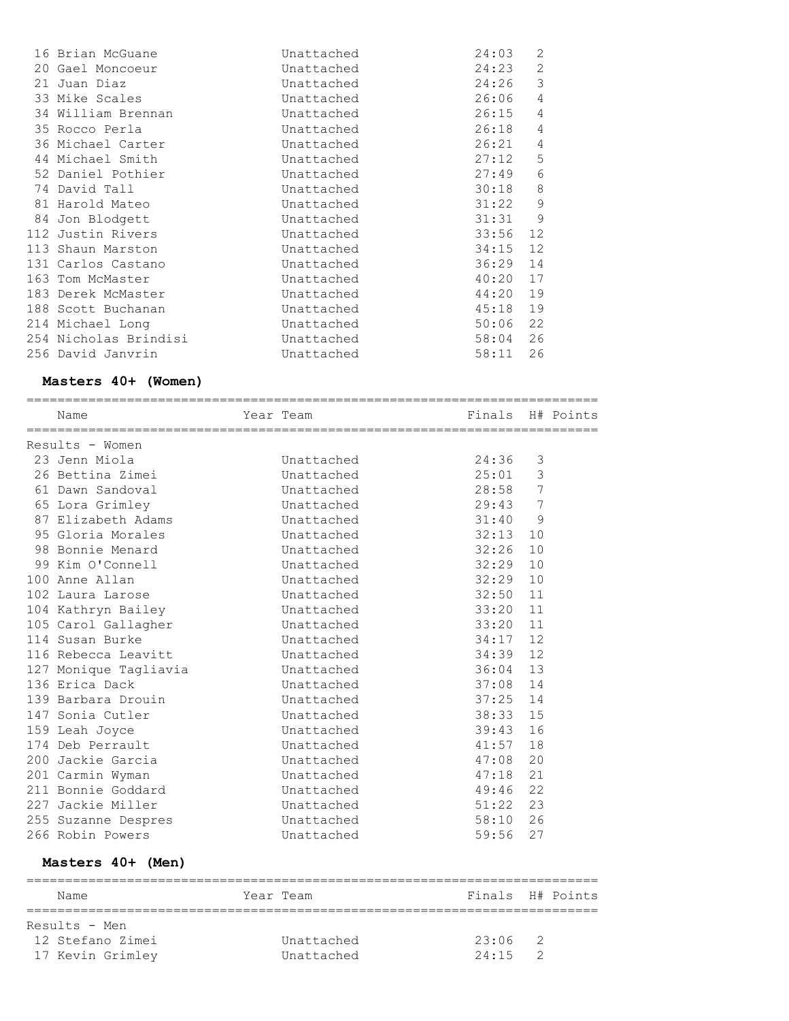| 16 Brian McGuane      | Unattached | 24:03 | 2              |
|-----------------------|------------|-------|----------------|
| 20 Gael Moncoeur      | Unattached | 24:23 | $\mathbf{2}$   |
| 21 Juan Diaz          | Unattached | 24:26 | 3              |
| 33 Mike Scales        | Unattached | 26:06 | $\overline{4}$ |
| 34 William Brennan    | Unattached | 26:15 | 4              |
| 35 Rocco Perla        | Unattached | 26:18 | $\overline{4}$ |
| 36 Michael Carter     | Unattached | 26:21 | $\sqrt{4}$     |
| 44 Michael Smith      | Unattached | 27:12 | 5              |
| 52 Daniel Pothier     | Unattached | 27:49 | $\epsilon$     |
| 74 David Tall         | Unattached | 30:18 | $\,8\,$        |
| 81 Harold Mateo       | Unattached | 31:22 | $\mathsf 9$    |
| 84 Jon Blodgett       | Unattached | 31:31 | 9              |
| 112 Justin Rivers     | Unattached | 33:56 | 12             |
| 113 Shaun Marston     | Unattached | 34:15 | 12             |
| 131 Carlos Castano    | Unattached | 36:29 | 14             |
| 163 Tom McMaster      | Unattached | 40:20 | 17             |
| 183 Derek McMaster    | Unattached | 44:20 | 19             |
| 188 Scott Buchanan    | Unattached | 45:18 | 19             |
| 214 Michael Long      | Unattached | 50:06 | 22             |
| 254 Nicholas Brindisi | Unattached | 58:04 | 26             |
| 256 David Janvrin     | Unattached | 58:11 | 26             |

#### **Masters 40+ (Women)**

| Name                  | Year Team  | Finals H# Points |                |  |
|-----------------------|------------|------------------|----------------|--|
| Results - Women       |            |                  |                |  |
| 23 Jenn Miola         | Unattached | 24:36            | 3              |  |
| 26 Bettina Zimei      | Unattached | 25:01            | 3              |  |
| 61 Dawn Sandoval      | Unattached | 28:58 7          |                |  |
| 65 Lora Grimley       | Unattached | 29:43            | 7              |  |
| 87 Elizabeth Adams    | Unattached | 31:40            | $\overline{9}$ |  |
| 95 Gloria Morales     | Unattached | 32:13            | 10             |  |
| 98 Bonnie Menard      | Unattached | 32:26            | 10             |  |
| 99 Kim O'Connell      | Unattached | 32:29            | 10             |  |
| 100 Anne Allan        | Unattached | 32:29            | 10             |  |
| 102 Laura Larose      | Unattached | 32:50            | 11             |  |
| 104 Kathryn Bailey    | Unattached | 33:20            | 11             |  |
| 105 Carol Gallagher   | Unattached | 33:20            | 11             |  |
| 114 Susan Burke       | Unattached | 34:17            | 12             |  |
| 116 Rebecca Leavitt   | Unattached | 34:39            | 12             |  |
| 127 Monique Tagliavia | Unattached | 36:04            | 13             |  |
| 136 Erica Dack        | Unattached | 37:08            | 14             |  |
| 139 Barbara Drouin    | Unattached | 37:25            | 14             |  |
| 147 Sonia Cutler      | Unattached | 38:33            | 15             |  |
| 159 Leah Joyce        | Unattached | 39:43            | 16             |  |
| 174 Deb Perrault      | Unattached | 41:57            | 18             |  |
| 200 Jackie Garcia     | Unattached | 47:08            | 20             |  |
| 201 Carmin Wyman      | Unattached | 47:18            | 21             |  |
| 211 Bonnie Goddard    | Unattached | 49:46            | 22             |  |
| 227 Jackie Miller     | Unattached | 51:22            | 23             |  |
| 255 Suzanne Despres   | Unattached | 58:10            | 26             |  |
| 266 Robin Powers      | Unattached | 59:56            | 27             |  |

#### **Masters 40+ (Men)**

| Name             | Year Team  | Finals H# Points |               |  |
|------------------|------------|------------------|---------------|--|
| Results - Men    |            |                  |               |  |
| 12 Stefano Zimei | Unattached | $23:06$ 2        |               |  |
| 17 Kevin Grimley | Unattached | 24.15            | $\mathcal{P}$ |  |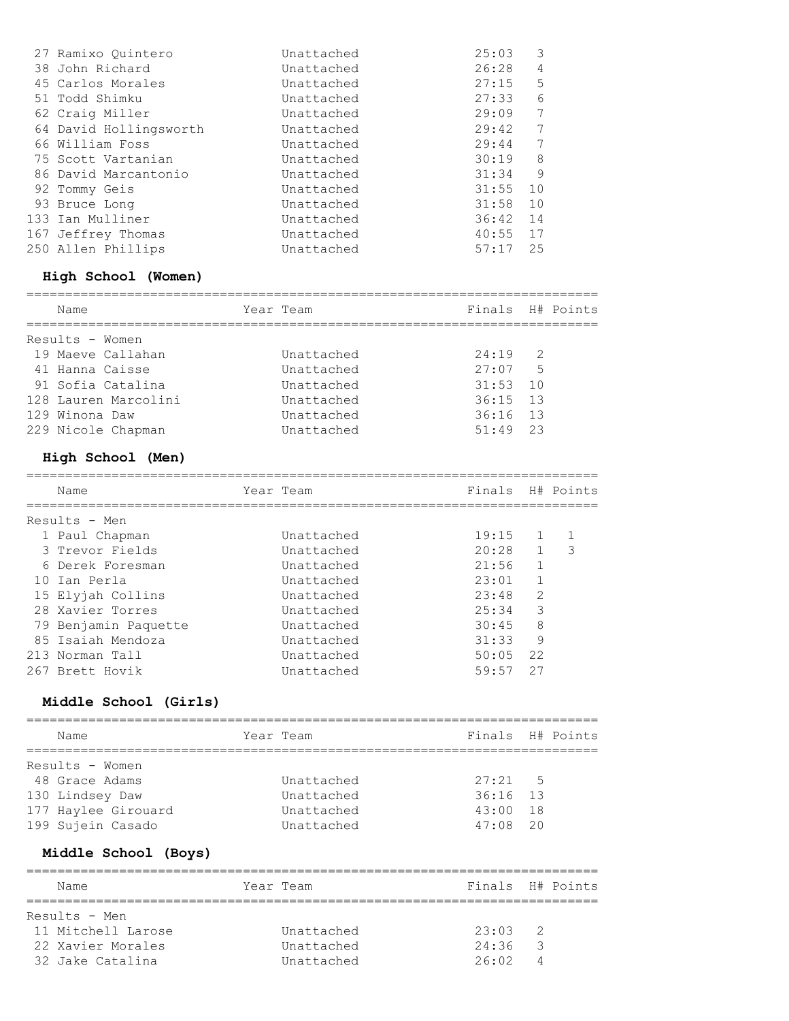| 27 Ramixo Ouintero     | Unattached | 25:03 | 3  |
|------------------------|------------|-------|----|
| 38 John Richard        | Unattached | 26:28 | 4  |
| 45 Carlos Morales      | Unattached | 27:15 | 5  |
| 51 Todd Shimku         | Unattached | 27:33 | 6  |
| 62 Craig Miller        | Unattached | 29:09 | 7  |
| 64 David Hollingsworth | Unattached | 29:42 | 7  |
| 66 William Foss        | Unattached | 29:44 | 7  |
| 75 Scott Vartanian     | Unattached | 30:19 | 8  |
| 86 David Marcantonio   | Unattached | 31:34 | 9  |
| 92 Tommy Geis          | Unattached | 31:55 | 10 |
| 93 Bruce Long          | Unattached | 31:58 | 10 |
| 133 Ian Mulliner       | Unattached | 36:42 | 14 |
| 167 Jeffrey Thomas     | Unattached | 40:55 | 17 |
| 250 Allen Phillips     | Unattached | 57:17 | 25 |
|                        |            |       |    |

#### **High School (Women)**

| Year Team<br>Name                  |            | Finals H# Points |  |
|------------------------------------|------------|------------------|--|
| Results - Women                    |            |                  |  |
| 19 Maeve Callahan<br>Unattached    | $24:19$ 2  |                  |  |
| 41 Hanna Caisse<br>Unattached      | $27:07$ 5  |                  |  |
| 91 Sofia Catalina<br>Unattached    | $31:53$ 10 |                  |  |
| 128 Lauren Marcolini<br>Unattached | $36:15$ 13 |                  |  |
| 129 Winona Daw<br>Unattached       | $36:16$ 13 |                  |  |
| 229 Nicole Chapman<br>Unattached   | $51:49$ 23 |                  |  |

## **High School (Men)**

| Name |                                                                                                                                                                                                                    |            |           |               |                                                      |
|------|--------------------------------------------------------------------------------------------------------------------------------------------------------------------------------------------------------------------|------------|-----------|---------------|------------------------------------------------------|
|      |                                                                                                                                                                                                                    |            |           |               |                                                      |
|      |                                                                                                                                                                                                                    | Unattached |           |               |                                                      |
|      |                                                                                                                                                                                                                    | Unattached |           | $\mathbf{1}$  | 3                                                    |
|      |                                                                                                                                                                                                                    | Unattached | 21:56     | 1             |                                                      |
|      |                                                                                                                                                                                                                    | Unattached | 23:01     |               |                                                      |
|      |                                                                                                                                                                                                                    | Unattached | 23:48     | $\mathcal{L}$ |                                                      |
|      |                                                                                                                                                                                                                    | Unattached | 25:34     | 3             |                                                      |
|      |                                                                                                                                                                                                                    | Unattached | 30:45     | 8             |                                                      |
|      |                                                                                                                                                                                                                    | Unattached | 31:33     | 9             |                                                      |
|      |                                                                                                                                                                                                                    | Unattached |           |               |                                                      |
|      |                                                                                                                                                                                                                    | Unattached | 59:57     | 27            |                                                      |
|      | Results - Men<br>1 Paul Chapman<br>3 Trevor Fields<br>6 Derek Foresman<br>10 Tan Perla<br>15 Elviah Collins<br>28 Xavier Torres<br>79 Benjamin Paquette<br>85 Isaiah Mendoza<br>213 Norman Tall<br>267 Brett Hovik |            | Year Team |               | Finals H# Points<br>$19:15$ 1<br>20:28<br>$50:05$ 22 |

#### **Middle School (Girls)**

| Name                | Year Team  |                  | Finals H# Points |
|---------------------|------------|------------------|------------------|
|                     |            |                  |                  |
| Results - Women     |            |                  |                  |
| 48 Grace Adams      | Unattached | $27:21 \qquad 5$ |                  |
| 130 Lindsey Daw     | Unattached | $36:16$ 13       |                  |
| 177 Haylee Girouard | Unattached | $43:00$ 18       |                  |
| 199 Sujein Casado   | Unattached | $47:08$ 20       |                  |

## **Middle School (Boys)**

| Name |                                                                              |            |           |   |                                    |
|------|------------------------------------------------------------------------------|------------|-----------|---|------------------------------------|
|      |                                                                              |            |           |   |                                    |
|      |                                                                              | Unattached | 23:03     |   |                                    |
|      |                                                                              | Unattached | 24:36     | 3 |                                    |
|      |                                                                              | Unattached | 26:02     | 4 |                                    |
|      | Results - Men<br>11 Mitchell Larose<br>22 Xavier Morales<br>32 Jake Catalina |            | Year Team |   | Finals H# Points<br>$\overline{2}$ |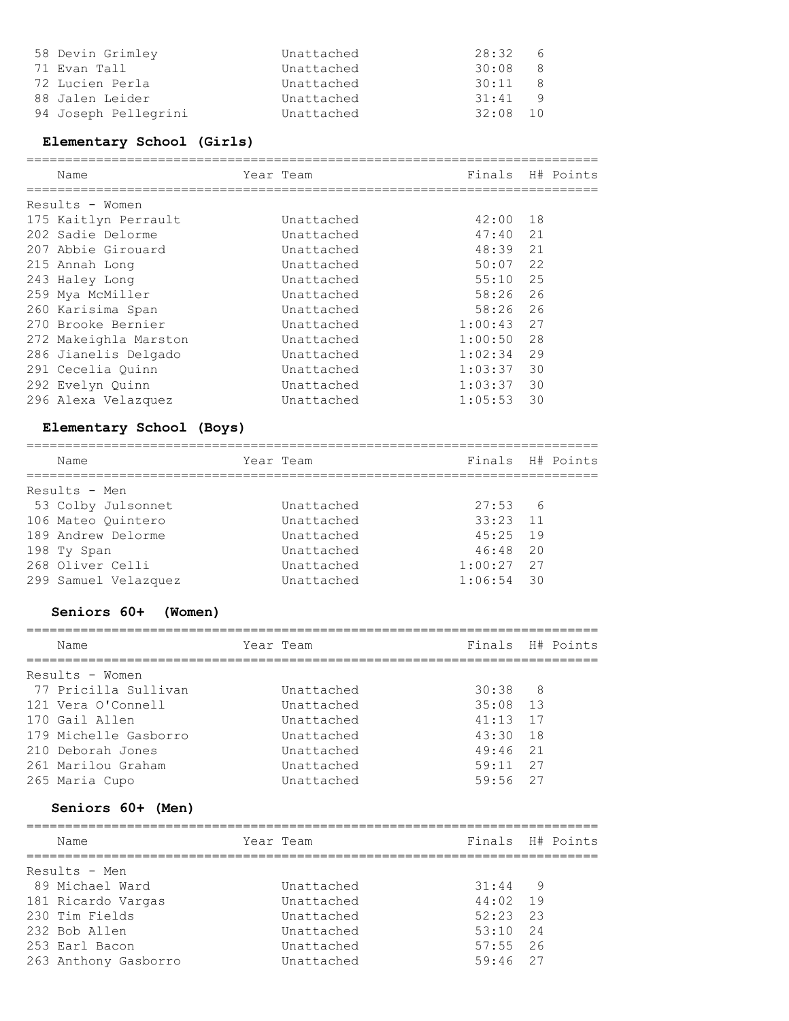| 58 Devin Grimley     | Unattached | 28:32      | - 6           |
|----------------------|------------|------------|---------------|
| 71 Evan Tall         | Unattached | 30:08      | - 8           |
| 72 Lucien Perla      | Unattached | 30:11      | $\mathcal{R}$ |
| 88 Jalen Leider      | Unattached | 31:41      | - 9           |
| 94 Joseph Pellegrini | Unattached | $32:08$ 10 |               |

## **Elementary School (Girls)**

| Name                  | Year Team  | Finals H# Points |    |  |
|-----------------------|------------|------------------|----|--|
| Results - Women       |            |                  |    |  |
| 175 Kaitlyn Perrault  | Unattached | $42:00$ 18       |    |  |
| 202 Sadie Delorme     | Unattached | $47:40$ 21       |    |  |
| 207 Abbie Girouard    | Unattached | $48:39$ 21       |    |  |
| 215 Annah Long        | Unattached | $50:07$ 22       |    |  |
| 243 Haley Long        | Unattached | $55:10$ 25       |    |  |
| 259 Mya McMiller      | Unattached | $58:26$ 26       |    |  |
| 260 Karisima Span     | Unattached | 58:26 26         |    |  |
| 270 Brooke Bernier    | Unattached | $1:00:43$ 27     |    |  |
| 272 Makeighla Marston | Unattached | $1:00:50$ 28     |    |  |
| 286 Jianelis Delgado  | Unattached | $1:02:34$ 29     |    |  |
| 291 Cecelia Ouinn     | Unattached | $1:03:37$ 30     |    |  |
| 292 Evelyn Quinn      | Unattached | $1:03:37$ 30     |    |  |
| 296 Alexa Velazquez   | Unattached | 1:05:53          | 30 |  |

## **Elementary School (Boys)**

| Name                 | Year Team  | Finals H# Points |  |
|----------------------|------------|------------------|--|
| Results - Men        |            |                  |  |
| 53 Colby Julsonnet   | Unattached | $27:53$ 6        |  |
| 106 Mateo Ouintero   | Unattached | $33:23$ 11       |  |
| 189 Andrew Delorme   | Unattached | $45:25$ 19       |  |
| 198 Ty Span          | Unattached | $46:48$ 20       |  |
| 268 Oliver Celli     | Unattached | $1:00:27$ 27     |  |
| 299 Samuel Velazquez | Unattached | $1:06:54$ 30     |  |

# **Seniors 60+ (Women)**

| Name                  | Year Team  |            | Finals H# Points |
|-----------------------|------------|------------|------------------|
| Results - Women       |            |            |                  |
| 77 Pricilla Sullivan  | Unattached | $30:38$ 8  |                  |
| 121 Vera O'Connell    | Unattached | $35:08$ 13 |                  |
| 170 Gail Allen        | Unattached | $41:13$ 17 |                  |
| 179 Michelle Gasborro | Unattached | $43:30$ 18 |                  |
| 210 Deborah Jones     | Unattached | $49:46$ 21 |                  |
| 261 Marilou Graham    | Unattached | $59:11$ 27 |                  |
| 265 Maria Cupo        | Unattached | $59:56$ 27 |                  |
|                       |            |            |                  |

#### **Seniors 60+ (Men)**

| Name                 | Year Team  |            | Finals H# Points |
|----------------------|------------|------------|------------------|
| Results - Men        |            |            |                  |
| 89 Michael Ward      | Unattached | $31:44$ 9  |                  |
| 181 Ricardo Vargas   | Unattached | $44:02$ 19 |                  |
| 230 Tim Fields       | Unattached | $52:23$ 23 |                  |
| 232 Bob Allen        | Unattached | $53:10$ 24 |                  |
| 253 Earl Bacon       | Unattached | $57:55$ 26 |                  |
| 263 Anthony Gasborro | Unattached | $59:46$ 27 |                  |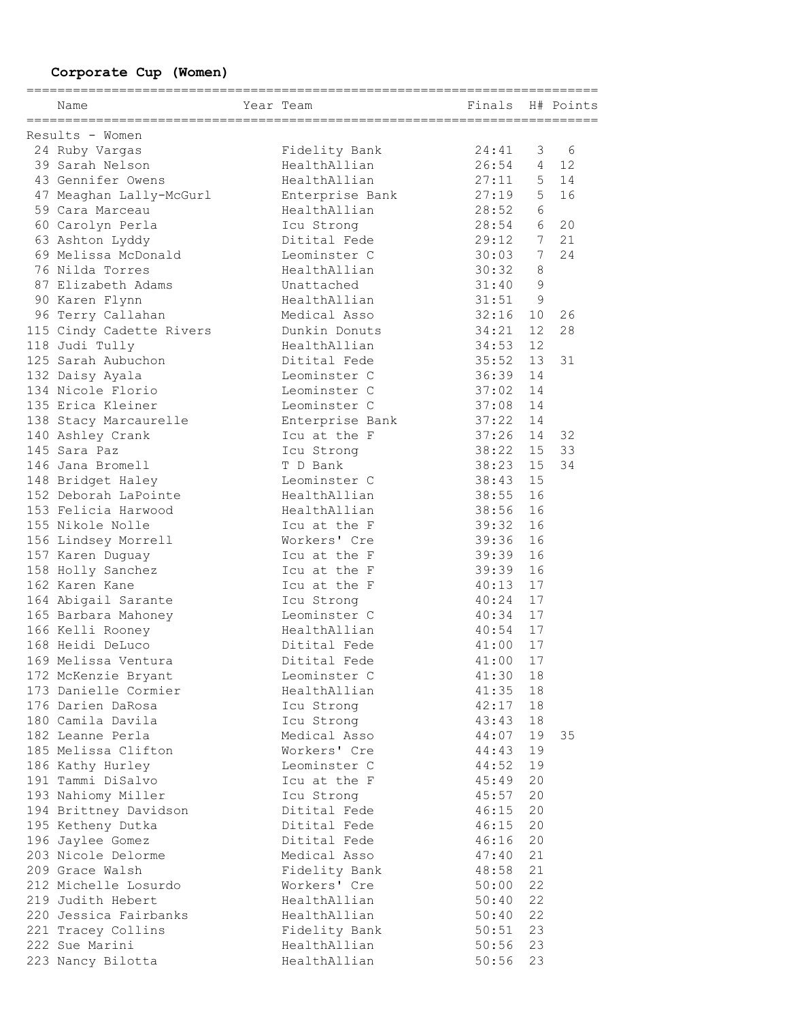193 Nahiomy Miller **Icu Strong** 45:57 20 194 Brittney Davidson **Ditital Fede** 46:15 20 195 Ketheny Dutka Ditital Fede 46:15 20 196 Jaylee Gomez **Ditital Fede** 46:16 20 203 Nicole Delorme Medical Asso 47:40 21 209 Grace Walsh **Fidelity Bank** 48:58 21 176 Darien DaRosa Icu Strong 42:17 18 180 Camila Davila Icu Strong 43:43 18 182 Leanne Perla Medical Asso 44:07 19 35 185 Melissa Clifton Workers' Cre 44:43 19 186 Kathy Hurley Leominster C 44:52 19 191 Tammi DiSalvo Icu at the F 45:49 20 165 Barbara Mahoney Leominster C 40:34 17 166 Kelli Rooney HealthAllian 40:54 17 168 Heidi DeLuco Ditital Fede 41:00 17 169 Melissa Ventura Ditital Fede 41:00 17 172 McKenzie Bryant Leominster C 41:30 18 173 Danielle Cormier HealthAllian 41:35 18 164 Abigail Sarante 1cu Strong 10:24 17 145 Sara Paz Icu Strong 38:22 15 33 146 Jana Bromell T D Bank 38:23 15 34 148 Bridget Haley **Leominster C** 38:43 15 152 Deborah LaPointe HealthAllian 38:55 16 153 Felicia Harwood HealthAllian 38:56 16 138 Stacy Marcaurelle Enterprise Bank 37:22 14 140 Ashley Crank Icu at the F 37:26 14 32 156 Lindsey Morrell Workers' Cre 39:36 16 157 Karen Duguay **Icu at the F** 39:39 16 158 Holly Sanchez Icu at the F 39:39 16 162 Karen Kane 10 10 Icu at the F 40:13 17 87 Elizabeth Adams Unattached 31:40 9 90 Karen Flynn HealthAllian 31:51 9 96 Terry Callahan Medical Asso 32:16 10 26 115 Cindy Cadette Rivers Dunkin Donuts 34:21 12 28 118 Judi Tully **118 Start Control** HealthAllian 34:53 12 155 Nikole Nolle **Icu at the F** 39:32 16 125 Sarah Aubuchon Ditital Fede 35:52 13 31 132 Daisy Ayala Leominster C 36:39 14 134 Nicole Florio Leominster C 37:02 14 135 Erica Kleiner Leominster C 37:08 14 24 Ruby Vargas Fidelity Bank 24:41 3 6 39 Sarah Nelson HealthAllian 26:54 4 12 43 Gennifer Owens HealthAllian 27:11 5 14 47 Meaghan Lally-McGurl Enterprise Bank 27:19 5 16 59 Cara Marceau HealthAllian 28:52 6 60 Carolyn Perla Icu Strong 28:54 6 20 63 Ashton Lyddy Ditital Fede 29:12 7 21 69 Melissa McDonald Leominster C 30:03 7 24 76 Nilda Torres HealthAllian 30:32 8  **Corporate Cup (Women)** ========================================================================== Name Team Team Finals H# Points ========================================================================== Results - Women

212 Michelle Losurdo Workers' Cre 50:00 22 219 Judith Hebert HealthAllian 50:40 22 220 Jessica Fairbanks HealthAllian 50:40 22 221 Tracey Collins **Fidelity Bank** 50:51 23 222 Sue Marini HealthAllian 50:56 23 223 Nancy Bilotta HealthAllian 50:56 23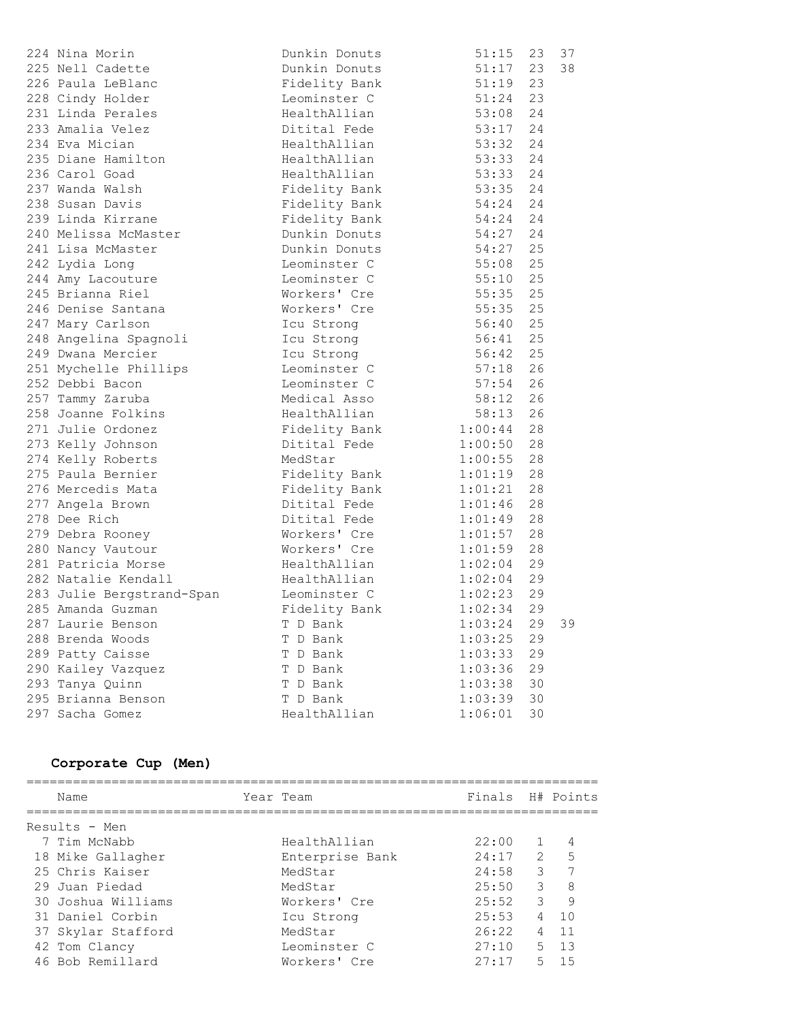| 224 Nina Morin            | Dunkin Donuts             | 51:15                   |    | 23 37 |
|---------------------------|---------------------------|-------------------------|----|-------|
| 225 Nell Cadette          | Dunkin Donuts             | 51:17                   | 23 | 38    |
| 226 Paula LeBlanc         | Fidelity Bank             | 51:19                   | 23 |       |
| 228 Cindy Holder          | Leominster C              | 51:24                   | 23 |       |
| 231 Linda Perales         | HealthAllian              | 53:08                   | 24 |       |
| 233 Amalia Velez          | Ditital Fede              | 53:17                   | 24 |       |
| 234 Eva Mician            | HealthAllian              | 53:32                   | 24 |       |
| 235 Diane Hamilton        | HealthAllian 53:33        |                         | 24 |       |
| 236 Carol Goad            | HealthAllian              | 53:33                   | 24 |       |
| 237 Wanda Walsh           | Fidelity Bank 53:35       |                         | 24 |       |
| 238 Susan Davis           | Fidelity Bank             | 54:24                   | 24 |       |
| 239 Linda Kirrane         | Fidelity Bank             | 54:24                   | 24 |       |
| 240 Melissa McMaster      | Dunkin Donuts             | $54:27$ 24              |    |       |
| 241 Lisa McMaster         | Dunkin Donuts             | 54:27 25                |    |       |
| 242 Lydia Long            | Leominster C              | 55:08<br>55:10<br>55:35 | 25 |       |
| 244 Amy Lacouture         | - .<br>Leominster C       |                         | 25 |       |
| 245 Brianna Riel          | Workers' Cre              |                         | 25 |       |
| 246 Denise Santana        | Workers' Cre              | 55:35                   | 25 |       |
| 247 Mary Carlson          | Icu Strong                | 56:40                   | 25 |       |
| 248 Angelina Spagnoli     | Icu Strong                | $56:41$ 25              |    |       |
| 249 Dwana Mercier         | Icu Strong                | $56:42$ 25              |    |       |
| 251 Mychelle Phillips     | Leominster C 57:18 26     |                         |    |       |
| 252 Debbi Bacon           | Leominster C 57:54 26     |                         |    |       |
| 257 Tammy Zaruba          | Medical Asso 58:12 26     |                         |    |       |
| 258 Joanne Folkins        | HealthAllian              | $58:13$ 26              |    |       |
| 271 Julie Ordonez         | Fidelity Bank 1:00:44 28  |                         |    |       |
| 273 Kelly Johnson         | Ditital Fede              | 1:00:50 28              |    |       |
| 274 Kelly Roberts         | MedStar                   | $1:00:55$ 28            |    |       |
| 275 Paula Bernier         | Fidelity Bank             | 1:01:19                 | 28 |       |
| 276 Mercedis Mata         | Fidelity Bank             | $1:01:21$ 28            |    |       |
| 277 Angela Brown          | Ditital Fede              | 1:01:46                 | 28 |       |
| 278 Dee Rich              | Ditital Fede              | 1:01:49                 | 28 |       |
| 279 Debra Rooney          | -<br>Workers' Cre         | 1:01:57                 | 28 |       |
| 280 Nancy Vautour         | Workers' Cre              | 1:01:59                 | 28 |       |
| 281 Patricia Morse        | HealthAllian              | 1:02:04                 | 29 |       |
| 282 Natalie Kendall       | HealthAllian              | $1:02:04$ 29            |    |       |
| 283 Julie Bergstrand-Span | Leominster C              | 1:02:23                 | 29 |       |
| 285 Amanda Guzman         | Fidelity Bank<br>T D Bank | 1:02:34                 | 29 |       |
| 287 Laurie Benson         |                           | $1:03:24$ 29            |    | 39    |
| 288 Brenda Woods          | T D Bank                  | 1:03:25                 | 29 |       |
| 289 Patty Caisse          | T D Bank                  | 1:03:33                 | 29 |       |
| 290 Kailey Vazquez        | T D Bank                  | 1:03:36                 | 29 |       |
| 293 Tanya Quinn           | T D Bank                  | 1:03:38                 | 30 |       |
| 295 Brianna Benson        | T D Bank                  | 1:03:39                 | 30 |       |
| 297 Sacha Gomez           | HealthAllian              | 1:06:01                 | 30 |       |

## **Corporate Cup (Men)**

| Name               | Year Team       | Finals H# Points |               |    |
|--------------------|-----------------|------------------|---------------|----|
| Results - Men      |                 |                  |               |    |
| 7 Tim McNabb       | HealthAllian    | 22:00            |               | 4  |
| 18 Mike Gallagher  | Enterprise Bank | 24:17            | $\mathcal{L}$ | 5  |
| 25 Chris Kaiser    | MedStar         | 24:58            | 3             | 7  |
| 29 Juan Piedad     | MedStar         | 25:50            | 3             | 8  |
| 30 Joshua Williams | Workers' Cre    | 25:52            | 3             | 9  |
| 31 Daniel Corbin   | Icu Strong      | 25:53            | 4             | 10 |
| 37 Skylar Stafford | MedStar         | 26:22            | 4             | 11 |
| 42 Tom Clancy      | Leominster C    | 27:10            | $5 -$         | 13 |
| 46 Bob Remillard   | Workers' Cre    | 27:17            | 5             | 15 |
|                    |                 |                  |               |    |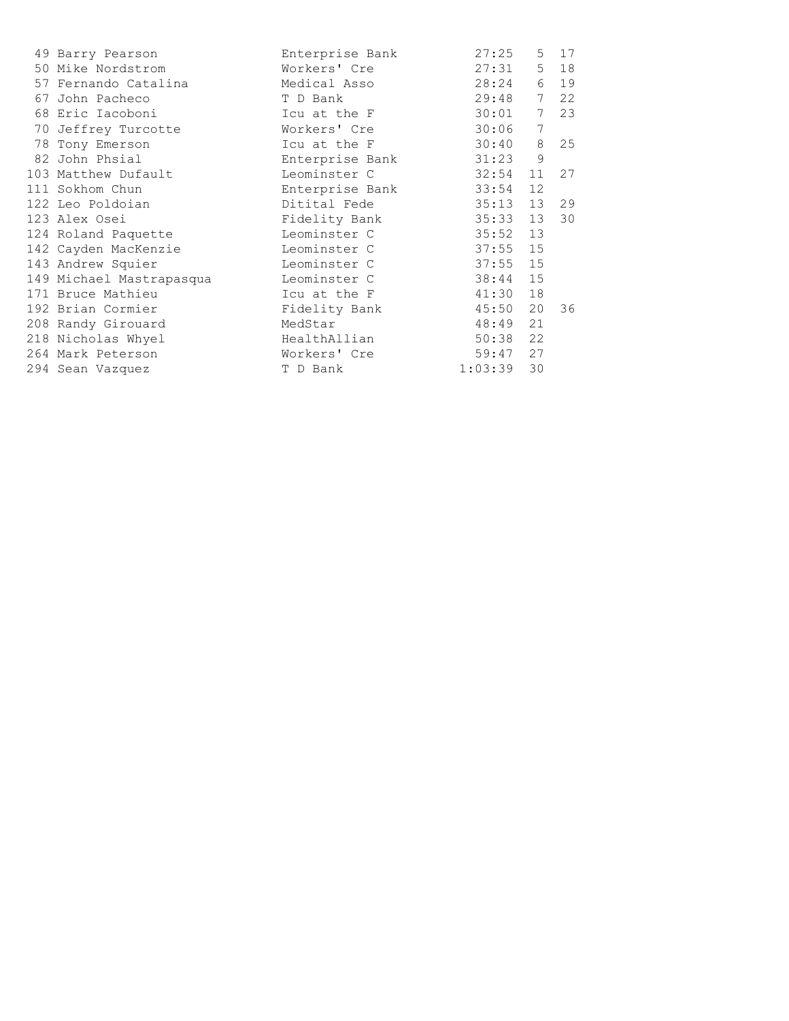| 49 Barry Pearson         | Enterprise Bank | 27:25   | 5               | 17 |
|--------------------------|-----------------|---------|-----------------|----|
| 50 Mike Nordstrom        | Workers' Cre    | 27:31   | 5               | 18 |
| 57 Fernando Catalina     | Medical Asso    | 28:24   | 6               | 19 |
| 67 John Pacheco          | T D Bank        | 29:48   | $7\phantom{.0}$ | 22 |
| 68 Eric Iacoboni         | Icu at the F    | 30:01   | 7               | 23 |
| 70 Jeffrey Turcotte      | Workers' Cre    | 30:06   | 7               |    |
| 78 Tony Emerson          | Icu at the F    | 30:40   | 8               | 25 |
| 82 John Phsial           | Enterprise Bank | 31:23   | 9               |    |
| 103 Matthew Dufault      | Leominster C    | 32:54   | 11              | 27 |
| 111 Sokhom Chun          | Enterprise Bank | 33:54   | 12              |    |
| 122 Leo Poldoian         | Ditital Fede    | 35:13   | 13              | 29 |
| 123 Alex Osei            | Fidelity Bank   | 35:33   | 13              | 30 |
| 124 Roland Paquette      | Leominster C    | 35:52   | 13              |    |
| 142 Cayden MacKenzie     | Leominster C    | 37:55   | 15              |    |
| 143 Andrew Squier        | Leominster C    | 37:55   | 15              |    |
| 149 Michael Mastrapasqua | Leominster C    | 38:44   | 15              |    |
| 171 Bruce Mathieu        | Icu at the F    | 41:30   | 18              |    |
| 192 Brian Cormier        | Fidelity Bank   | 45:50   | 20              | 36 |
| 208 Randy Girouard       | MedStar         | 48:49   | 21              |    |
| 218 Nicholas Whyel       | HealthAllian    | 50:38   | 22              |    |
| 264 Mark Peterson        | Workers' Cre    | 59:47   | 27              |    |
| 294 Sean Vazquez         | T D Bank        | 1:03:39 | 30              |    |